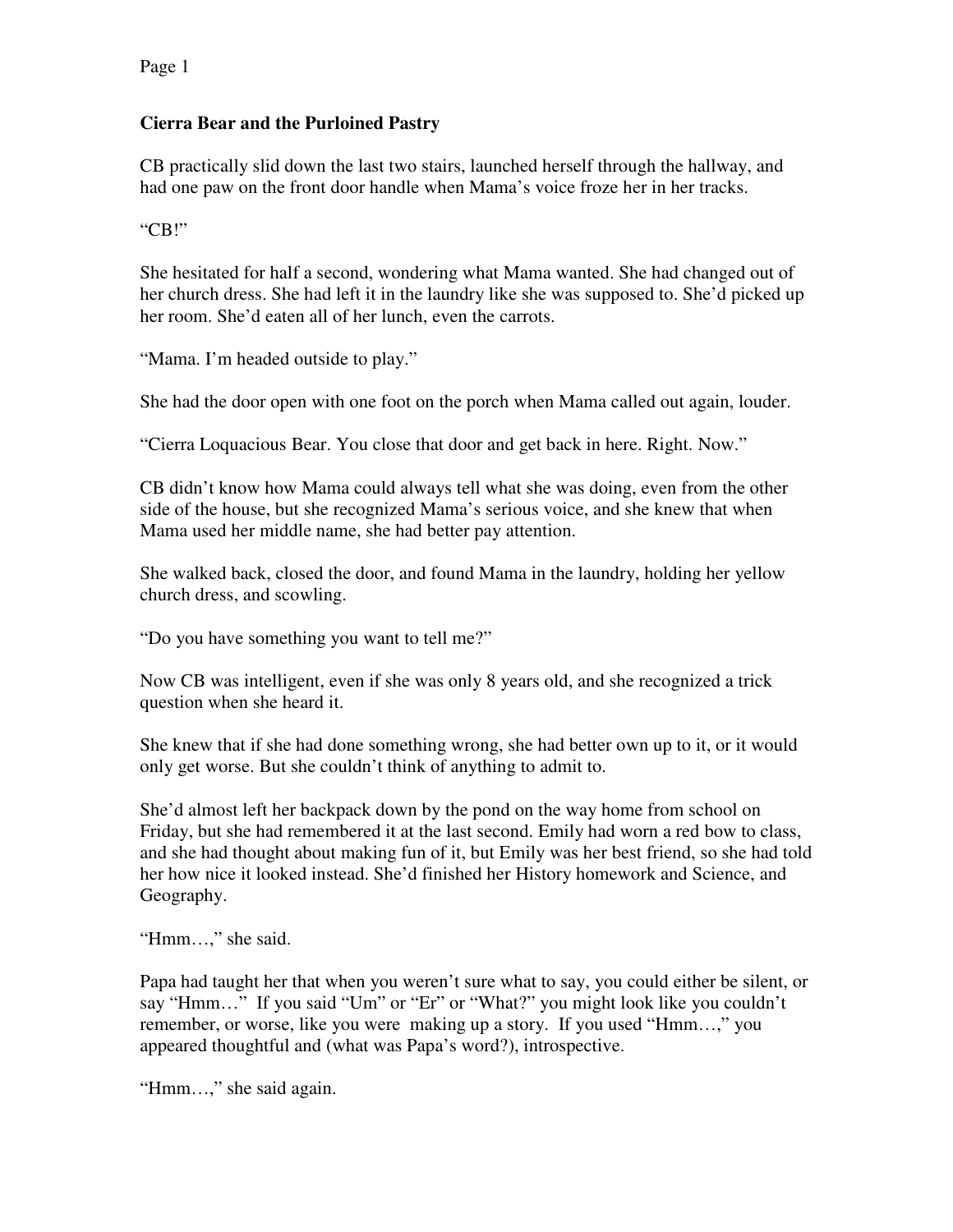## **Cierra Bear and the Purloined Pastry**

CB practically slid down the last two stairs, launched herself through the hallway, and had one paw on the front door handle when Mama's voice froze her in her tracks.

"CB!"

She hesitated for half a second, wondering what Mama wanted. She had changed out of her church dress. She had left it in the laundry like she was supposed to. She'd picked up her room. She'd eaten all of her lunch, even the carrots.

"Mama. I'm headed outside to play."

She had the door open with one foot on the porch when Mama called out again, louder.

"Cierra Loquacious Bear. You close that door and get back in here. Right. Now."

CB didn't know how Mama could always tell what she was doing, even from the other side of the house, but she recognized Mama's serious voice, and she knew that when Mama used her middle name, she had better pay attention.

She walked back, closed the door, and found Mama in the laundry, holding her yellow church dress, and scowling.

"Do you have something you want to tell me?"

Now CB was intelligent, even if she was only 8 years old, and she recognized a trick question when she heard it.

She knew that if she had done something wrong, she had better own up to it, or it would only get worse. But she couldn't think of anything to admit to.

She'd almost left her backpack down by the pond on the way home from school on Friday, but she had remembered it at the last second. Emily had worn a red bow to class, and she had thought about making fun of it, but Emily was her best friend, so she had told her how nice it looked instead. She'd finished her History homework and Science, and Geography.

"Hmm…," she said.

Papa had taught her that when you weren't sure what to say, you could either be silent, or say "Hmm…" If you said "Um" or "Er" or "What?" you might look like you couldn't remember, or worse, like you were making up a story. If you used "Hmm…," you appeared thoughtful and (what was Papa's word?), introspective.

"Hmm…," she said again.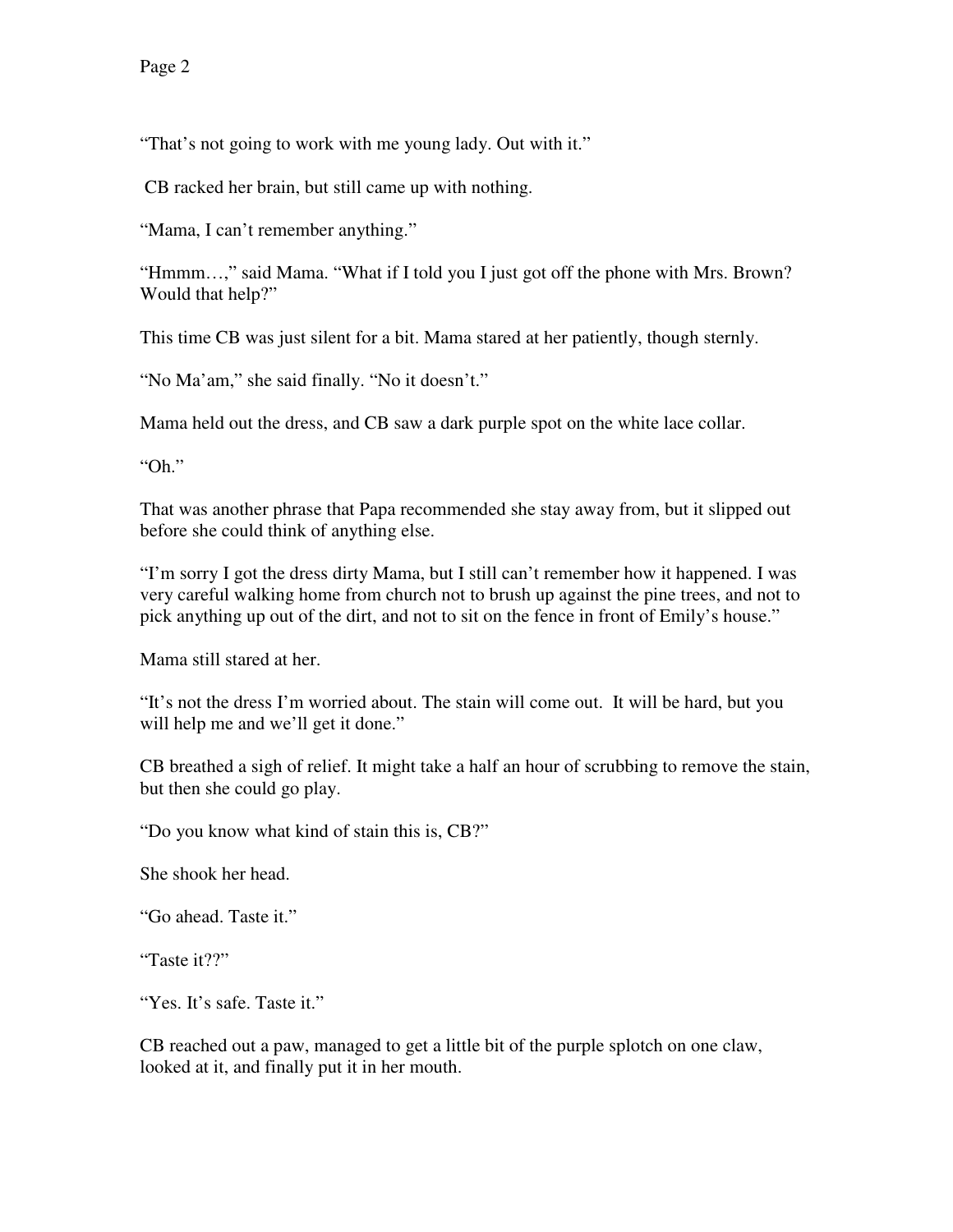"That's not going to work with me young lady. Out with it."

CB racked her brain, but still came up with nothing.

"Mama, I can't remember anything."

"Hmmm…," said Mama. "What if I told you I just got off the phone with Mrs. Brown? Would that help?"

This time CB was just silent for a bit. Mama stared at her patiently, though sternly.

"No Ma'am," she said finally. "No it doesn't."

Mama held out the dress, and CB saw a dark purple spot on the white lace collar.

"Oh."

That was another phrase that Papa recommended she stay away from, but it slipped out before she could think of anything else.

"I'm sorry I got the dress dirty Mama, but I still can't remember how it happened. I was very careful walking home from church not to brush up against the pine trees, and not to pick anything up out of the dirt, and not to sit on the fence in front of Emily's house."

Mama still stared at her.

"It's not the dress I'm worried about. The stain will come out. It will be hard, but you will help me and we'll get it done."

CB breathed a sigh of relief. It might take a half an hour of scrubbing to remove the stain, but then she could go play.

"Do you know what kind of stain this is, CB?"

She shook her head.

"Go ahead. Taste it."

"Taste it??"

"Yes. It's safe. Taste it."

CB reached out a paw, managed to get a little bit of the purple splotch on one claw, looked at it, and finally put it in her mouth.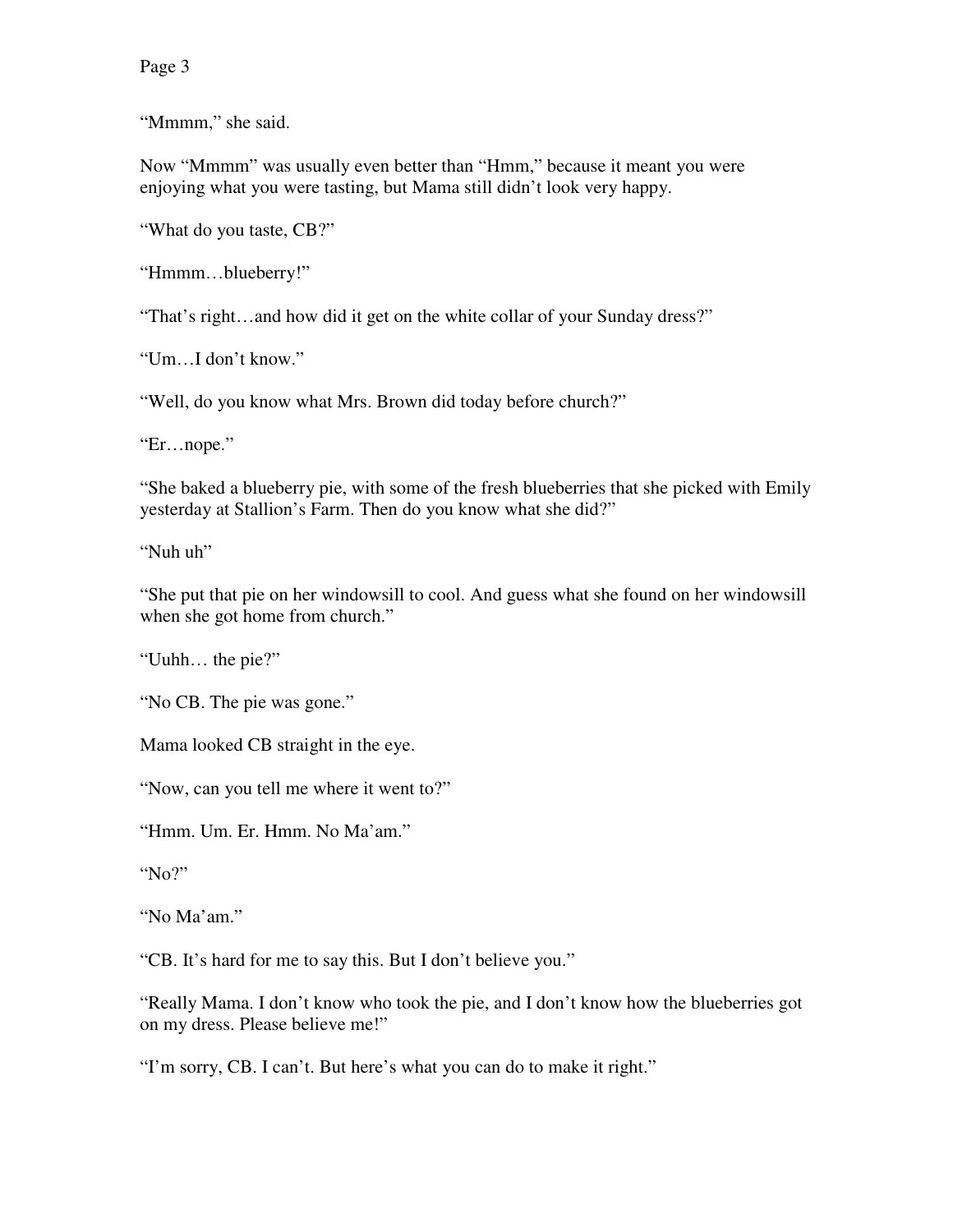Page 3

"Mmmm," she said.

Now "Mmmm" was usually even better than "Hmm," because it meant you were enjoying what you were tasting, but Mama still didn't look very happy.

"What do you taste, CB?"

"Hmmm…blueberry!"

"That's right…and how did it get on the white collar of your Sunday dress?"

"Um…I don't know."

"Well, do you know what Mrs. Brown did today before church?"

"Er…nope."

"She baked a blueberry pie, with some of the fresh blueberries that she picked with Emily yesterday at Stallion's Farm. Then do you know what she did?"

"Nuh uh"

"She put that pie on her windowsill to cool. And guess what she found on her windowsill when she got home from church."

"Uuhh… the pie?"

"No CB. The pie was gone."

Mama looked CB straight in the eye.

"Now, can you tell me where it went to?"

"Hmm. Um. Er. Hmm. No Ma'am."

"No?"

"No Ma'am."

"CB. It's hard for me to say this. But I don't believe you."

"Really Mama. I don't know who took the pie, and I don't know how the blueberries got on my dress. Please believe me!"

"I'm sorry, CB. I can't. But here's what you can do to make it right."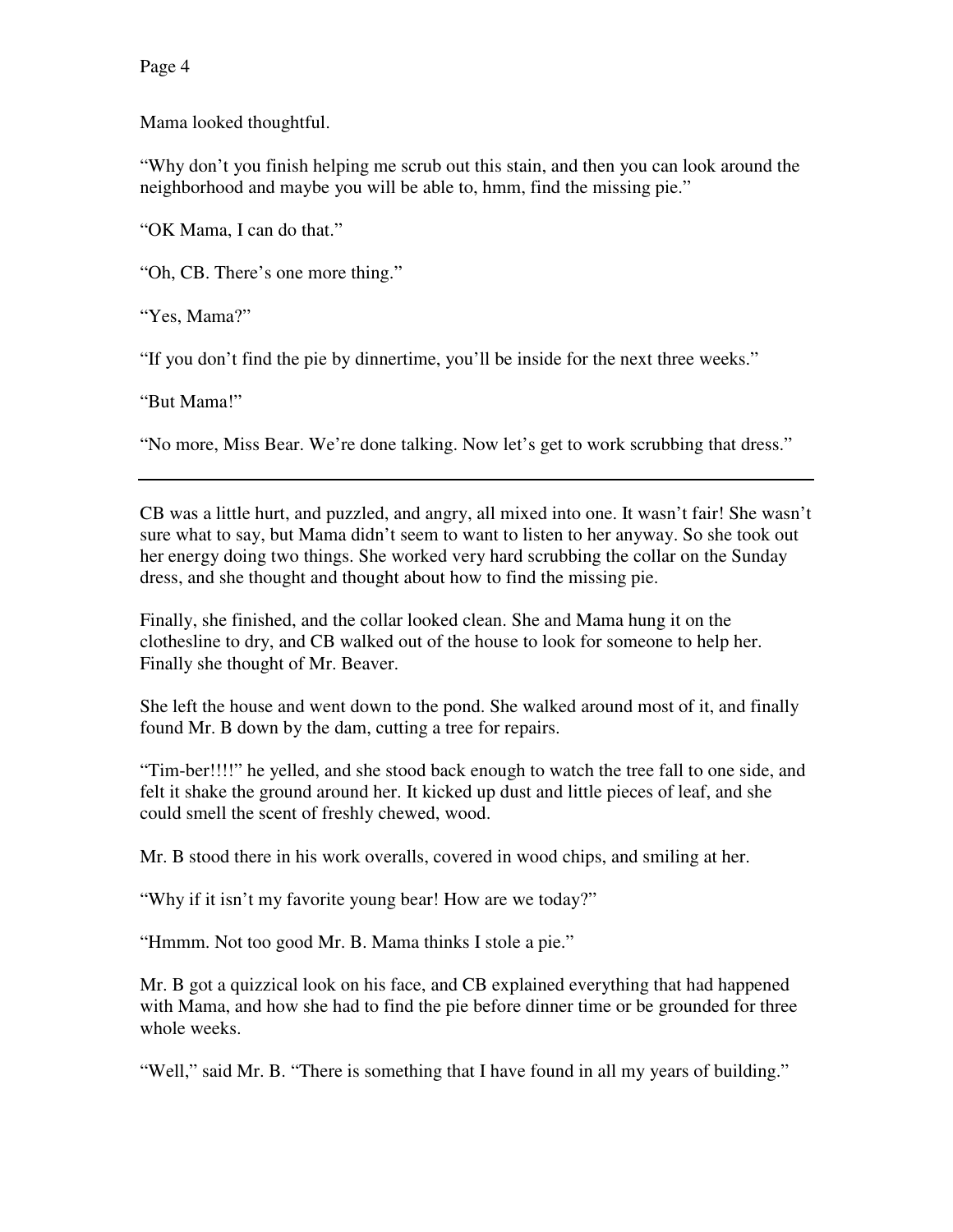Page 4

Mama looked thoughtful.

"Why don't you finish helping me scrub out this stain, and then you can look around the neighborhood and maybe you will be able to, hmm, find the missing pie."

"OK Mama, I can do that."

"Oh, CB. There's one more thing."

"Yes, Mama?"

"If you don't find the pie by dinnertime, you'll be inside for the next three weeks."

"But Mama!"

"No more, Miss Bear. We're done talking. Now let's get to work scrubbing that dress."

CB was a little hurt, and puzzled, and angry, all mixed into one. It wasn't fair! She wasn't sure what to say, but Mama didn't seem to want to listen to her anyway. So she took out her energy doing two things. She worked very hard scrubbing the collar on the Sunday dress, and she thought and thought about how to find the missing pie.

Finally, she finished, and the collar looked clean. She and Mama hung it on the clothesline to dry, and CB walked out of the house to look for someone to help her. Finally she thought of Mr. Beaver.

She left the house and went down to the pond. She walked around most of it, and finally found Mr. B down by the dam, cutting a tree for repairs.

"Tim-ber!!!!" he yelled, and she stood back enough to watch the tree fall to one side, and felt it shake the ground around her. It kicked up dust and little pieces of leaf, and she could smell the scent of freshly chewed, wood.

Mr. B stood there in his work overalls, covered in wood chips, and smiling at her.

"Why if it isn't my favorite young bear! How are we today?"

"Hmmm. Not too good Mr. B. Mama thinks I stole a pie."

Mr. B got a quizzical look on his face, and CB explained everything that had happened with Mama, and how she had to find the pie before dinner time or be grounded for three whole weeks.

"Well," said Mr. B. "There is something that I have found in all my years of building."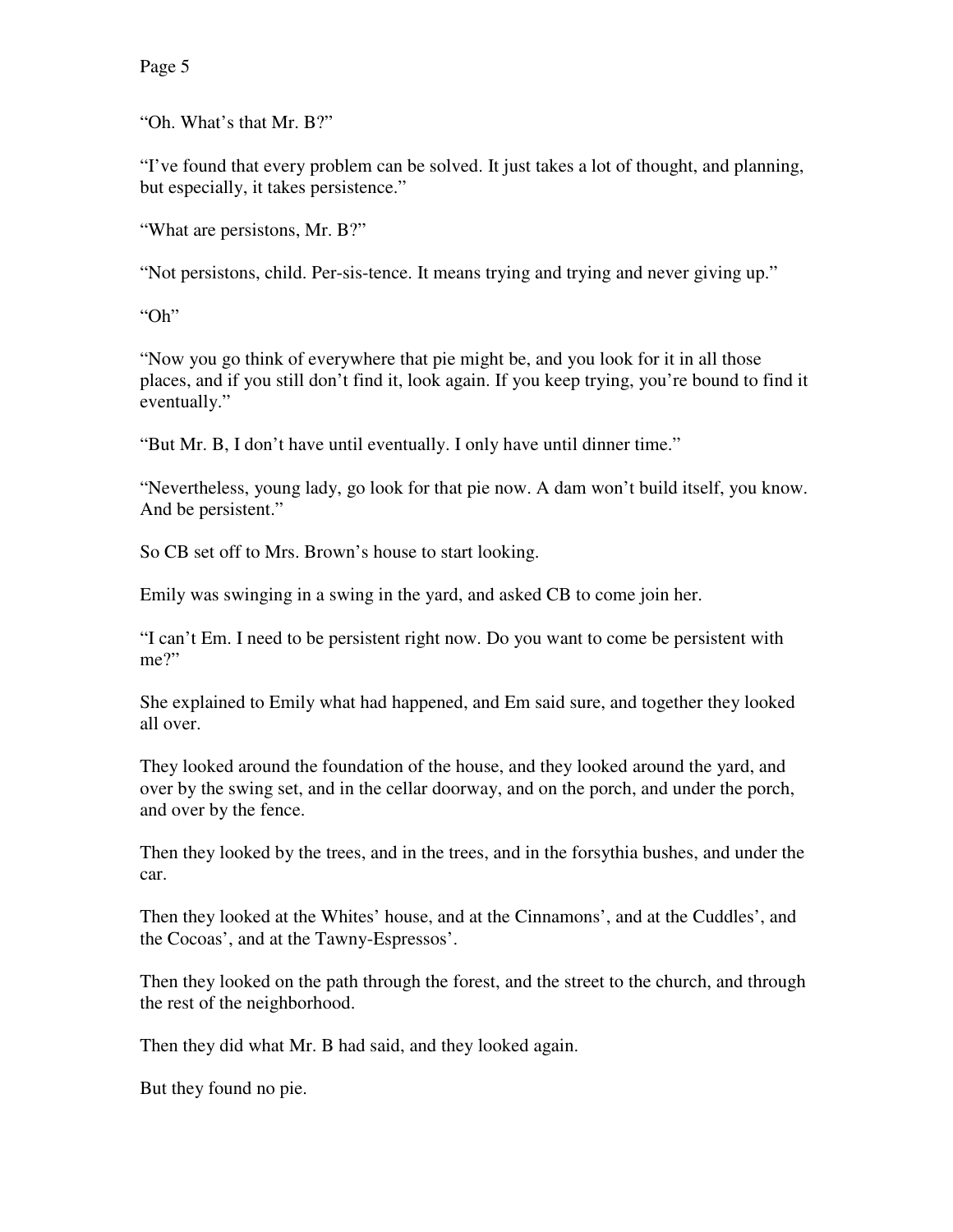"Oh. What's that Mr. B?"

"I've found that every problem can be solved. It just takes a lot of thought, and planning, but especially, it takes persistence."

"What are persistons, Mr. B?"

"Not persistons, child. Per-sis-tence. It means trying and trying and never giving up."

"Oh"

"Now you go think of everywhere that pie might be, and you look for it in all those places, and if you still don't find it, look again. If you keep trying, you're bound to find it eventually."

"But Mr. B, I don't have until eventually. I only have until dinner time."

"Nevertheless, young lady, go look for that pie now. A dam won't build itself, you know. And be persistent."

So CB set off to Mrs. Brown's house to start looking.

Emily was swinging in a swing in the yard, and asked CB to come join her.

"I can't Em. I need to be persistent right now. Do you want to come be persistent with me?"

She explained to Emily what had happened, and Em said sure, and together they looked all over.

They looked around the foundation of the house, and they looked around the yard, and over by the swing set, and in the cellar doorway, and on the porch, and under the porch, and over by the fence.

Then they looked by the trees, and in the trees, and in the forsythia bushes, and under the car.

Then they looked at the Whites' house, and at the Cinnamons', and at the Cuddles', and the Cocoas', and at the Tawny-Espressos'.

Then they looked on the path through the forest, and the street to the church, and through the rest of the neighborhood.

Then they did what Mr. B had said, and they looked again.

But they found no pie.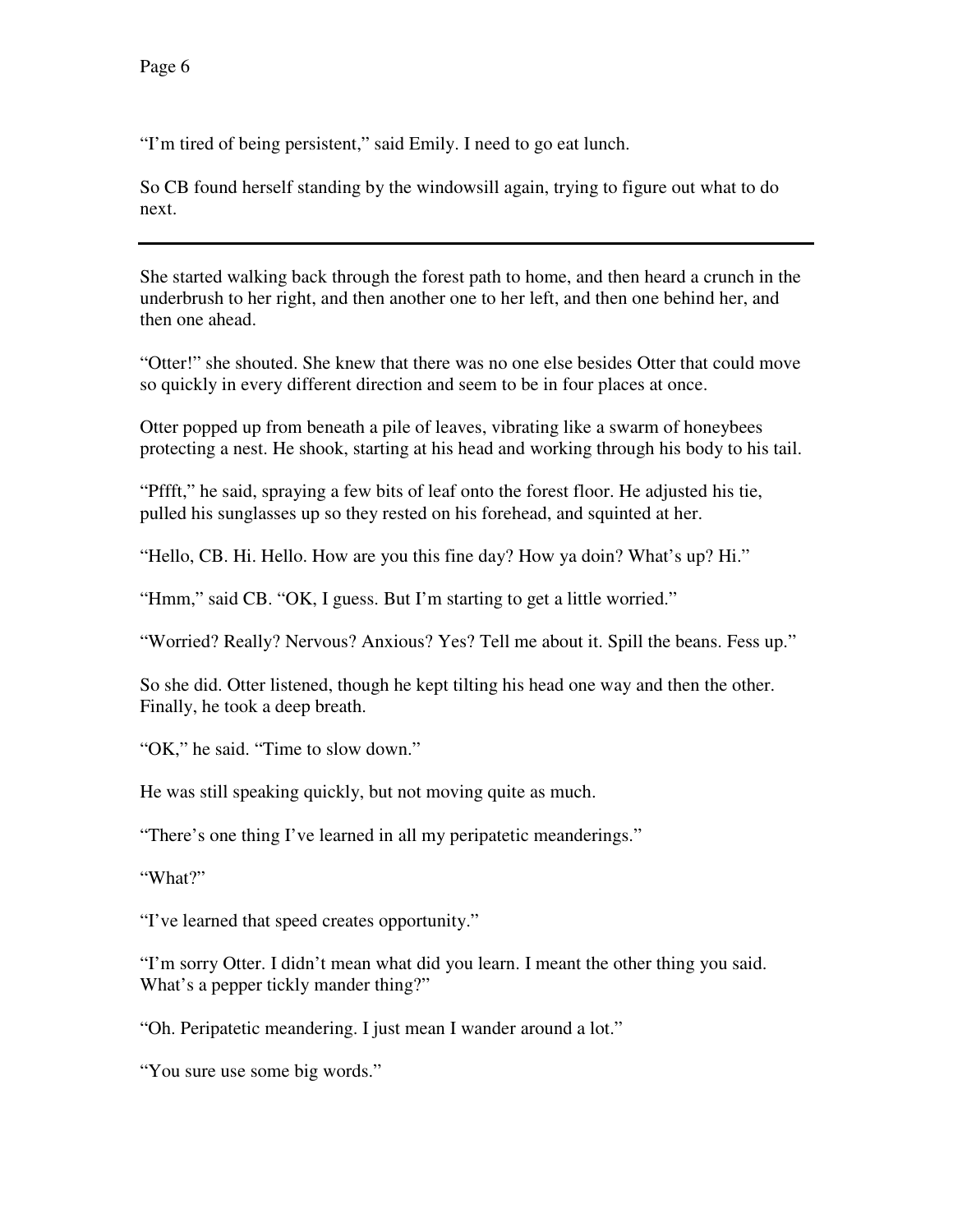"I'm tired of being persistent," said Emily. I need to go eat lunch.

So CB found herself standing by the windowsill again, trying to figure out what to do next.

She started walking back through the forest path to home, and then heard a crunch in the underbrush to her right, and then another one to her left, and then one behind her, and then one ahead.

"Otter!" she shouted. She knew that there was no one else besides Otter that could move so quickly in every different direction and seem to be in four places at once.

Otter popped up from beneath a pile of leaves, vibrating like a swarm of honeybees protecting a nest. He shook, starting at his head and working through his body to his tail.

"Pffft," he said, spraying a few bits of leaf onto the forest floor. He adjusted his tie, pulled his sunglasses up so they rested on his forehead, and squinted at her.

"Hello, CB. Hi. Hello. How are you this fine day? How ya doin? What's up? Hi."

"Hmm," said CB. "OK, I guess. But I'm starting to get a little worried."

"Worried? Really? Nervous? Anxious? Yes? Tell me about it. Spill the beans. Fess up."

So she did. Otter listened, though he kept tilting his head one way and then the other. Finally, he took a deep breath.

"OK," he said. "Time to slow down."

He was still speaking quickly, but not moving quite as much.

"There's one thing I've learned in all my peripatetic meanderings."

"What?"

"I've learned that speed creates opportunity."

"I'm sorry Otter. I didn't mean what did you learn. I meant the other thing you said. What's a pepper tickly mander thing?"

"Oh. Peripatetic meandering. I just mean I wander around a lot."

"You sure use some big words."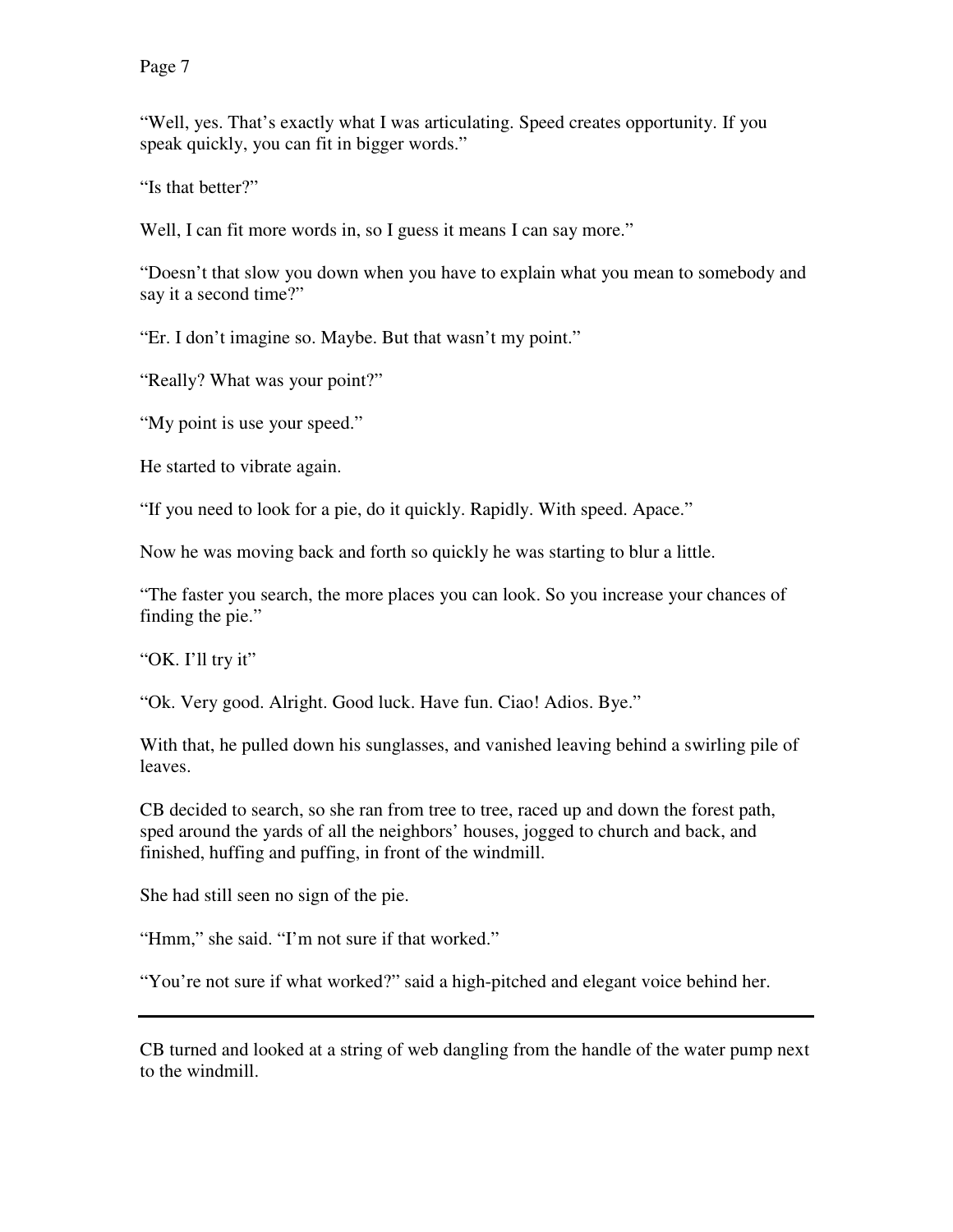"Well, yes. That's exactly what I was articulating. Speed creates opportunity. If you speak quickly, you can fit in bigger words."

"Is that better?"

Well, I can fit more words in, so I guess it means I can say more."

"Doesn't that slow you down when you have to explain what you mean to somebody and say it a second time?"

"Er. I don't imagine so. Maybe. But that wasn't my point."

"Really? What was your point?"

"My point is use your speed."

He started to vibrate again.

"If you need to look for a pie, do it quickly. Rapidly. With speed. Apace."

Now he was moving back and forth so quickly he was starting to blur a little.

"The faster you search, the more places you can look. So you increase your chances of finding the pie."

"OK. I'll try it"

"Ok. Very good. Alright. Good luck. Have fun. Ciao! Adios. Bye."

With that, he pulled down his sunglasses, and vanished leaving behind a swirling pile of leaves.

CB decided to search, so she ran from tree to tree, raced up and down the forest path, sped around the yards of all the neighbors' houses, jogged to church and back, and finished, huffing and puffing, in front of the windmill.

She had still seen no sign of the pie.

"Hmm," she said. "I'm not sure if that worked."

"You're not sure if what worked?" said a high-pitched and elegant voice behind her.

CB turned and looked at a string of web dangling from the handle of the water pump next to the windmill.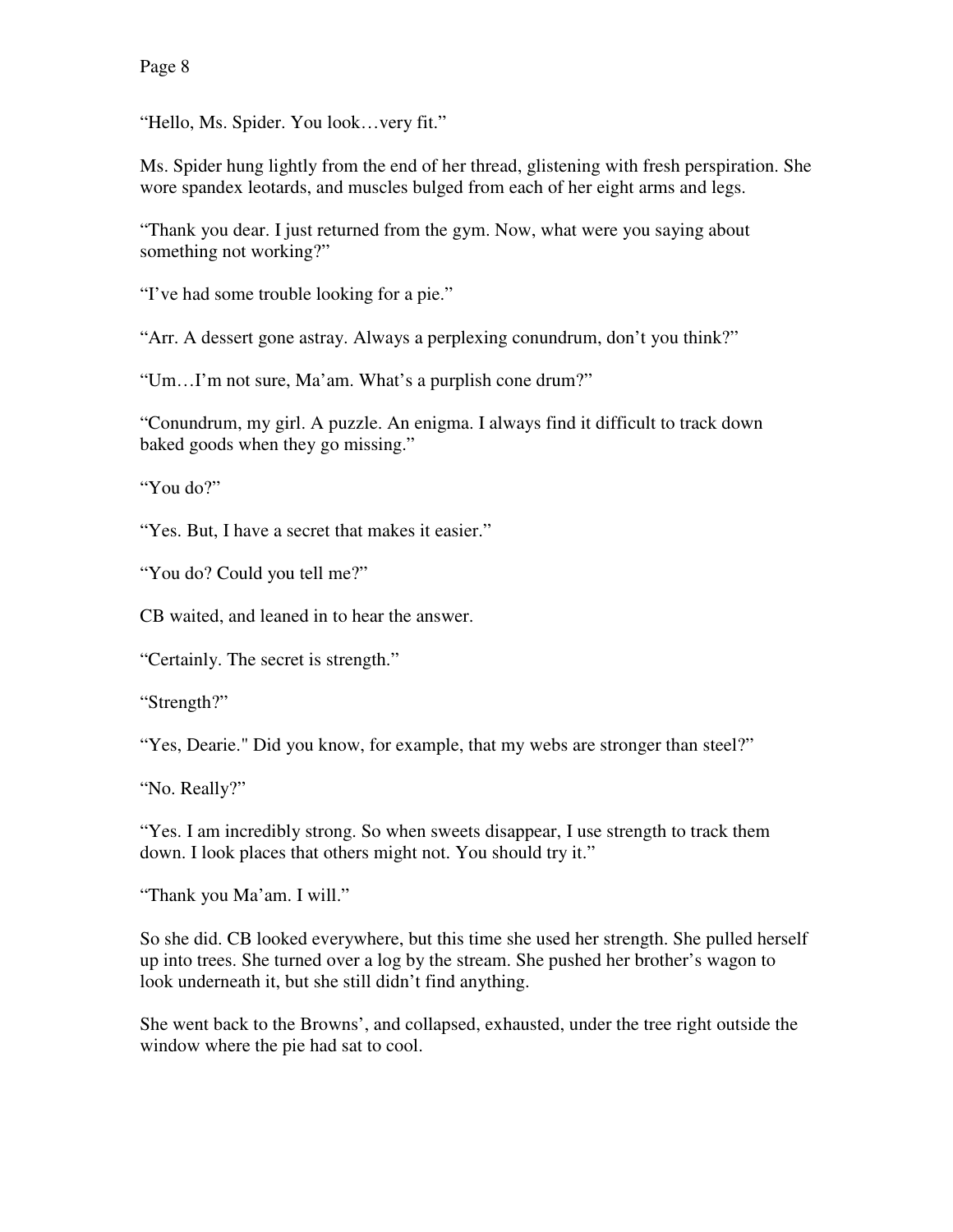"Hello, Ms. Spider. You look…very fit."

Ms. Spider hung lightly from the end of her thread, glistening with fresh perspiration. She wore spandex leotards, and muscles bulged from each of her eight arms and legs.

"Thank you dear. I just returned from the gym. Now, what were you saying about something not working?"

"I've had some trouble looking for a pie."

"Arr. A dessert gone astray. Always a perplexing conundrum, don't you think?"

"Um…I'm not sure, Ma'am. What's a purplish cone drum?"

"Conundrum, my girl. A puzzle. An enigma. I always find it difficult to track down baked goods when they go missing."

"You do?"

"Yes. But, I have a secret that makes it easier."

"You do? Could you tell me?"

CB waited, and leaned in to hear the answer.

"Certainly. The secret is strength."

"Strength?"

"Yes, Dearie." Did you know, for example, that my webs are stronger than steel?"

"No. Really?"

"Yes. I am incredibly strong. So when sweets disappear, I use strength to track them down. I look places that others might not. You should try it."

"Thank you Ma'am. I will."

So she did. CB looked everywhere, but this time she used her strength. She pulled herself up into trees. She turned over a log by the stream. She pushed her brother's wagon to look underneath it, but she still didn't find anything.

She went back to the Browns', and collapsed, exhausted, under the tree right outside the window where the pie had sat to cool.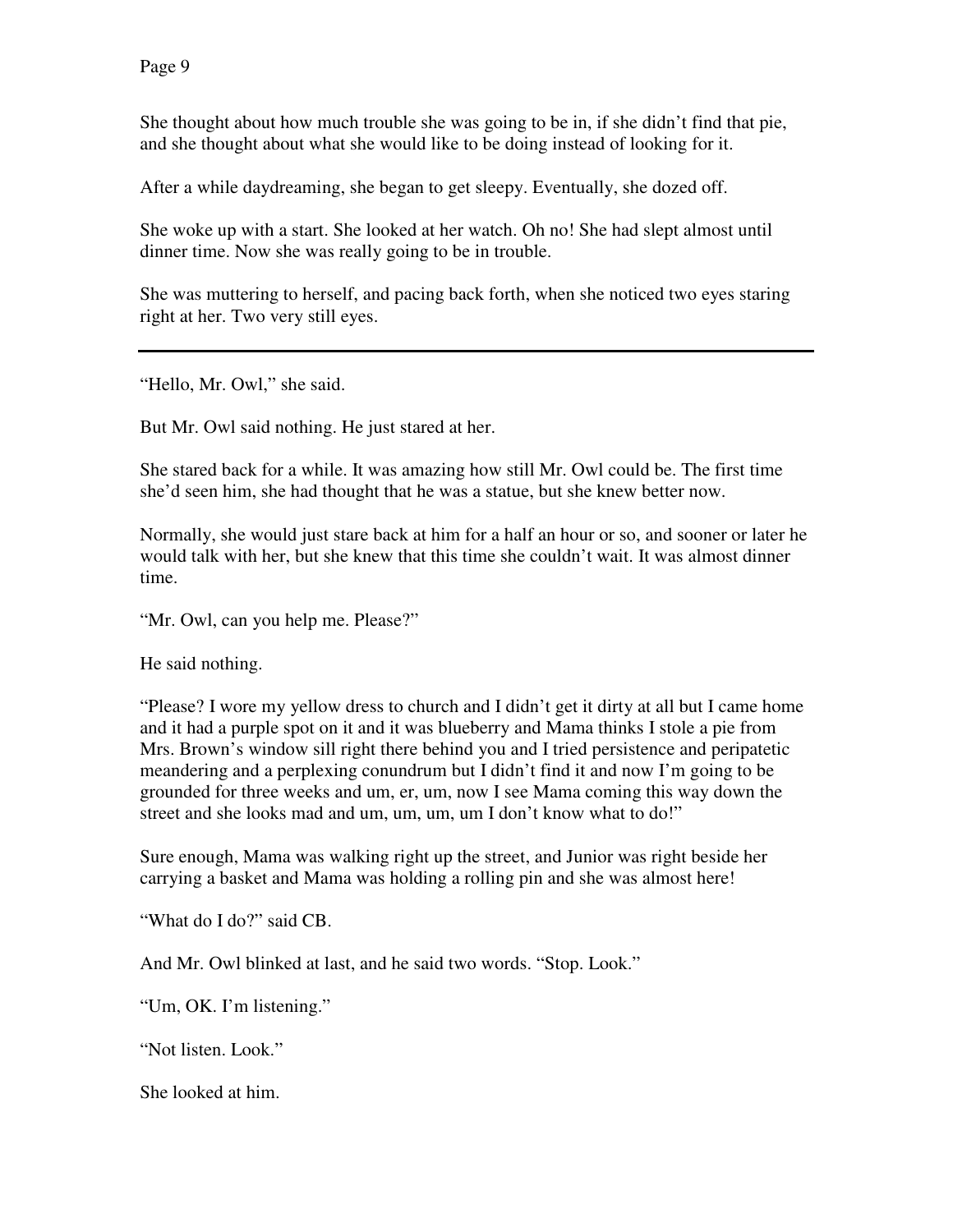She thought about how much trouble she was going to be in, if she didn't find that pie, and she thought about what she would like to be doing instead of looking for it.

After a while daydreaming, she began to get sleepy. Eventually, she dozed off.

She woke up with a start. She looked at her watch. Oh no! She had slept almost until dinner time. Now she was really going to be in trouble.

She was muttering to herself, and pacing back forth, when she noticed two eyes staring right at her. Two very still eyes.

"Hello, Mr. Owl," she said.

But Mr. Owl said nothing. He just stared at her.

She stared back for a while. It was amazing how still Mr. Owl could be. The first time she'd seen him, she had thought that he was a statue, but she knew better now.

Normally, she would just stare back at him for a half an hour or so, and sooner or later he would talk with her, but she knew that this time she couldn't wait. It was almost dinner time.

"Mr. Owl, can you help me. Please?"

He said nothing.

"Please? I wore my yellow dress to church and I didn't get it dirty at all but I came home and it had a purple spot on it and it was blueberry and Mama thinks I stole a pie from Mrs. Brown's window sill right there behind you and I tried persistence and peripatetic meandering and a perplexing conundrum but I didn't find it and now I'm going to be grounded for three weeks and um, er, um, now I see Mama coming this way down the street and she looks mad and um, um, um, um I don't know what to do!"

Sure enough, Mama was walking right up the street, and Junior was right beside her carrying a basket and Mama was holding a rolling pin and she was almost here!

"What do I do?" said CB.

And Mr. Owl blinked at last, and he said two words. "Stop. Look."

"Um, OK. I'm listening."

"Not listen. Look."

She looked at him.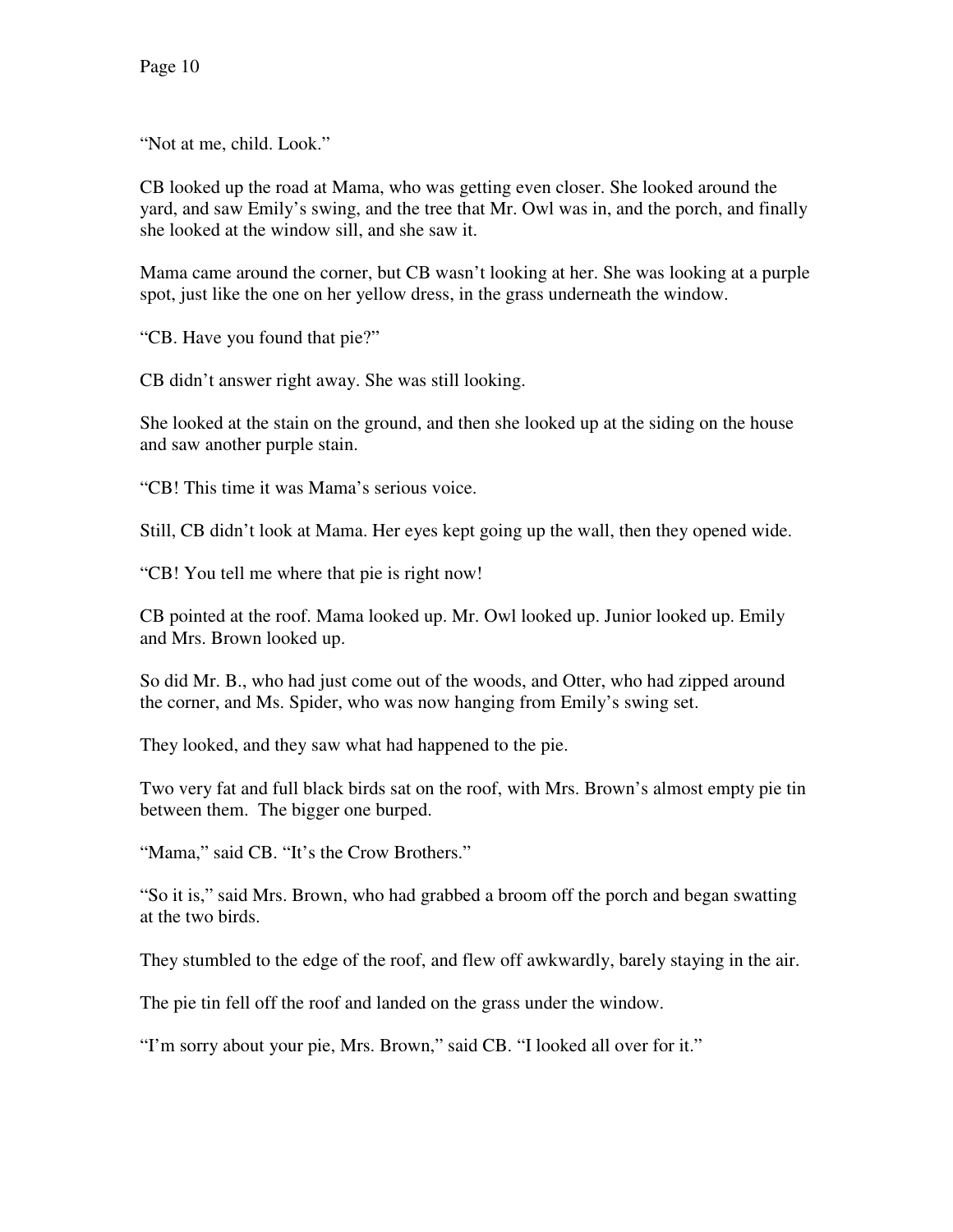"Not at me, child. Look."

CB looked up the road at Mama, who was getting even closer. She looked around the yard, and saw Emily's swing, and the tree that Mr. Owl was in, and the porch, and finally she looked at the window sill, and she saw it.

Mama came around the corner, but CB wasn't looking at her. She was looking at a purple spot, just like the one on her yellow dress, in the grass underneath the window.

"CB. Have you found that pie?"

CB didn't answer right away. She was still looking.

She looked at the stain on the ground, and then she looked up at the siding on the house and saw another purple stain.

"CB! This time it was Mama's serious voice.

Still, CB didn't look at Mama. Her eyes kept going up the wall, then they opened wide.

"CB! You tell me where that pie is right now!

CB pointed at the roof. Mama looked up. Mr. Owl looked up. Junior looked up. Emily and Mrs. Brown looked up.

So did Mr. B., who had just come out of the woods, and Otter, who had zipped around the corner, and Ms. Spider, who was now hanging from Emily's swing set.

They looked, and they saw what had happened to the pie.

Two very fat and full black birds sat on the roof, with Mrs. Brown's almost empty pie tin between them. The bigger one burped.

"Mama," said CB. "It's the Crow Brothers."

"So it is," said Mrs. Brown, who had grabbed a broom off the porch and began swatting at the two birds.

They stumbled to the edge of the roof, and flew off awkwardly, barely staying in the air.

The pie tin fell off the roof and landed on the grass under the window.

"I'm sorry about your pie, Mrs. Brown," said CB. "I looked all over for it."